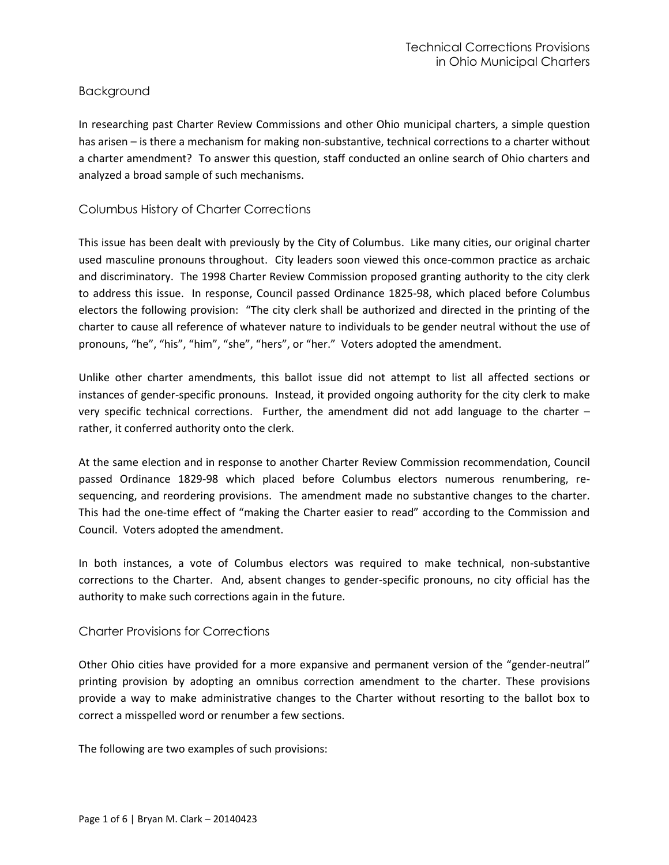# Background

In researching past Charter Review Commissions and other Ohio municipal charters, a simple question has arisen – is there a mechanism for making non-substantive, technical corrections to a charter without a charter amendment? To answer this question, staff conducted an online search of Ohio charters and analyzed a broad sample of such mechanisms.

# Columbus History of Charter Corrections

This issue has been dealt with previously by the City of Columbus. Like many cities, our original charter used masculine pronouns throughout. City leaders soon viewed this once-common practice as archaic and discriminatory. The 1998 Charter Review Commission proposed granting authority to the city clerk to address this issue. In response, Council passed Ordinance 1825-98, which placed before Columbus electors the following provision: "The city clerk shall be authorized and directed in the printing of the charter to cause all reference of whatever nature to individuals to be gender neutral without the use of pronouns, "he", "his", "him", "she", "hers", or "her." Voters adopted the amendment.

Unlike other charter amendments, this ballot issue did not attempt to list all affected sections or instances of gender-specific pronouns. Instead, it provided ongoing authority for the city clerk to make very specific technical corrections. Further, the amendment did not add language to the charter – rather, it conferred authority onto the clerk.

At the same election and in response to another Charter Review Commission recommendation, Council passed Ordinance 1829-98 which placed before Columbus electors numerous renumbering, resequencing, and reordering provisions. The amendment made no substantive changes to the charter. This had the one-time effect of "making the Charter easier to read" according to the Commission and Council. Voters adopted the amendment.

In both instances, a vote of Columbus electors was required to make technical, non-substantive corrections to the Charter. And, absent changes to gender-specific pronouns, no city official has the authority to make such corrections again in the future.

## Charter Provisions for Corrections

Other Ohio cities have provided for a more expansive and permanent version of the "gender-neutral" printing provision by adopting an omnibus correction amendment to the charter. These provisions provide a way to make administrative changes to the Charter without resorting to the ballot box to correct a misspelled word or renumber a few sections.

The following are two examples of such provisions: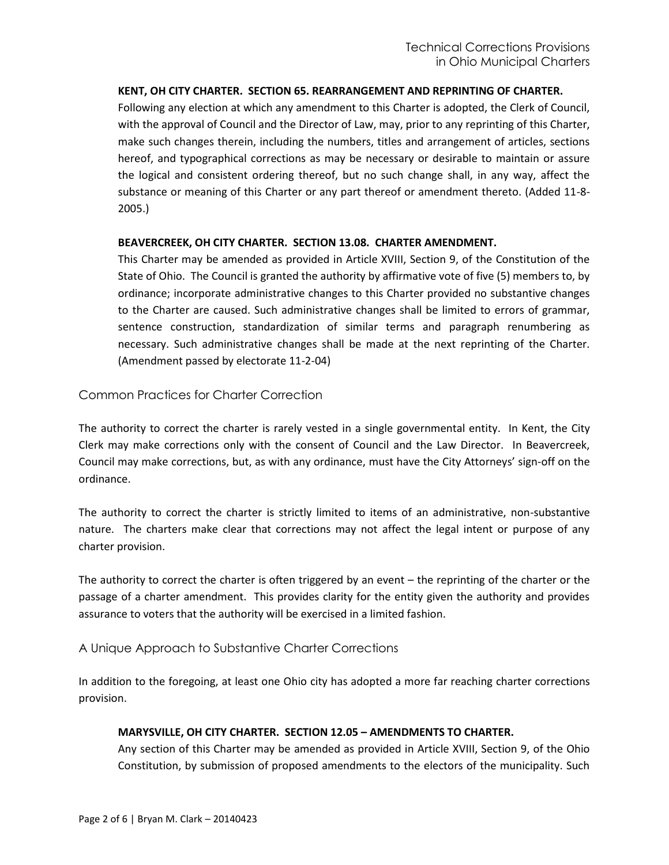## **KENT, OH CITY CHARTER. SECTION 65. REARRANGEMENT AND REPRINTING OF CHARTER.**

Following any election at which any amendment to this Charter is adopted, the Clerk of Council, with the approval of Council and the Director of Law, may, prior to any reprinting of this Charter, make such changes therein, including the numbers, titles and arrangement of articles, sections hereof, and typographical corrections as may be necessary or desirable to maintain or assure the logical and consistent ordering thereof, but no such change shall, in any way, affect the substance or meaning of this Charter or any part thereof or amendment thereto. (Added 11-8- 2005.)

#### **BEAVERCREEK, OH CITY CHARTER. SECTION 13.08. CHARTER AMENDMENT.**

This Charter may be amended as provided in Article XVIII, Section 9, of the Constitution of the State of Ohio. The Council is granted the authority by affirmative vote of five (5) members to, by ordinance; incorporate administrative changes to this Charter provided no substantive changes to the Charter are caused. Such administrative changes shall be limited to errors of grammar, sentence construction, standardization of similar terms and paragraph renumbering as necessary. Such administrative changes shall be made at the next reprinting of the Charter. (Amendment passed by electorate 11-2-04)

# Common Practices for Charter Correction

The authority to correct the charter is rarely vested in a single governmental entity. In Kent, the City Clerk may make corrections only with the consent of Council and the Law Director. In Beavercreek, Council may make corrections, but, as with any ordinance, must have the City Attorneys' sign-off on the ordinance.

The authority to correct the charter is strictly limited to items of an administrative, non-substantive nature. The charters make clear that corrections may not affect the legal intent or purpose of any charter provision.

The authority to correct the charter is often triggered by an event – the reprinting of the charter or the passage of a charter amendment. This provides clarity for the entity given the authority and provides assurance to voters that the authority will be exercised in a limited fashion.

## A Unique Approach to Substantive Charter Corrections

In addition to the foregoing, at least one Ohio city has adopted a more far reaching charter corrections provision.

## **MARYSVILLE, OH CITY CHARTER. SECTION 12.05 – AMENDMENTS TO CHARTER.**

Any section of this Charter may be amended as provided in Article XVIII, Section 9, of the Ohio Constitution, by submission of proposed amendments to the electors of the municipality. Such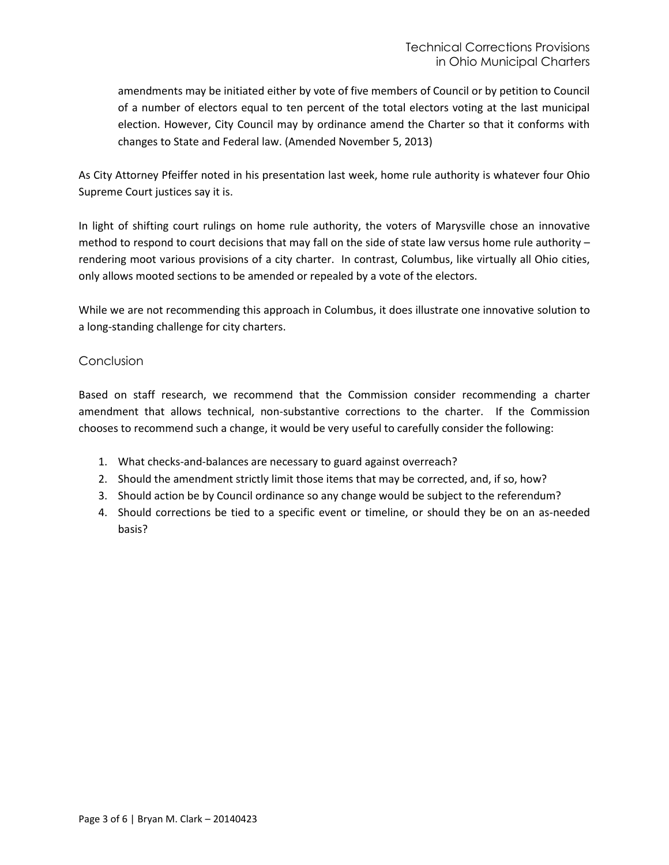amendments may be initiated either by vote of five members of Council or by petition to Council of a number of electors equal to ten percent of the total electors voting at the last municipal election. However, City Council may by ordinance amend the Charter so that it conforms with changes to State and Federal law. (Amended November 5, 2013)

As City Attorney Pfeiffer noted in his presentation last week, home rule authority is whatever four Ohio Supreme Court justices say it is.

In light of shifting court rulings on home rule authority, the voters of Marysville chose an innovative method to respond to court decisions that may fall on the side of state law versus home rule authority – rendering moot various provisions of a city charter. In contrast, Columbus, like virtually all Ohio cities, only allows mooted sections to be amended or repealed by a vote of the electors.

While we are not recommending this approach in Columbus, it does illustrate one innovative solution to a long-standing challenge for city charters.

# Conclusion

Based on staff research, we recommend that the Commission consider recommending a charter amendment that allows technical, non-substantive corrections to the charter. If the Commission chooses to recommend such a change, it would be very useful to carefully consider the following:

- 1. What checks-and-balances are necessary to guard against overreach?
- 2. Should the amendment strictly limit those items that may be corrected, and, if so, how?
- 3. Should action be by Council ordinance so any change would be subject to the referendum?
- 4. Should corrections be tied to a specific event or timeline, or should they be on an as-needed basis?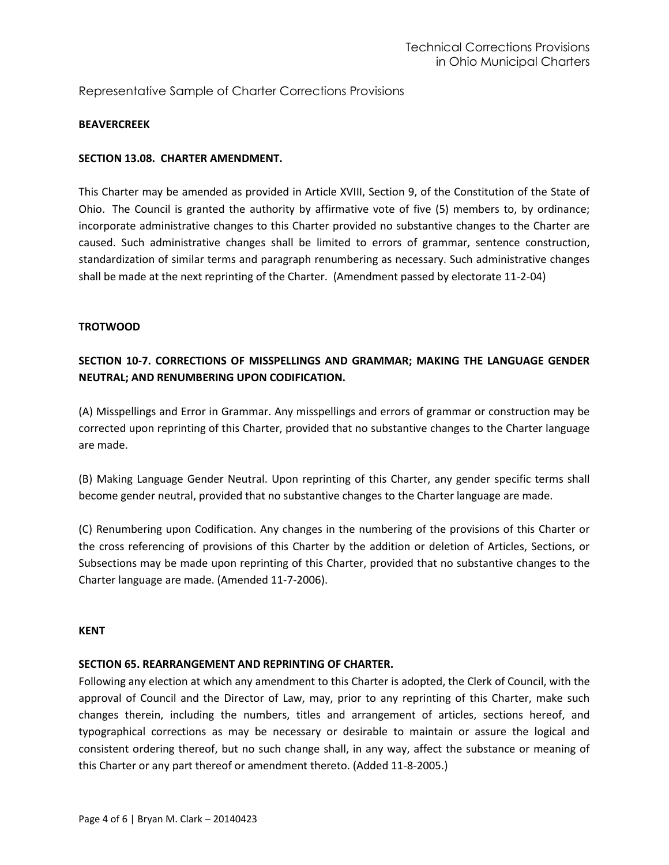# Representative Sample of Charter Corrections Provisions

#### **BEAVERCREEK**

#### **SECTION 13.08. CHARTER AMENDMENT.**

This Charter may be amended as provided in Article XVIII, Section 9, of the Constitution of the State of Ohio. The Council is granted the authority by affirmative vote of five (5) members to, by ordinance; incorporate administrative changes to this Charter provided no substantive changes to the Charter are caused. Such administrative changes shall be limited to errors of grammar, sentence construction, standardization of similar terms and paragraph renumbering as necessary. Such administrative changes shall be made at the next reprinting of the Charter. (Amendment passed by electorate 11-2-04)

#### **TROTWOOD**

# **SECTION 10-7. CORRECTIONS OF MISSPELLINGS AND GRAMMAR; MAKING THE LANGUAGE GENDER NEUTRAL; AND RENUMBERING UPON CODIFICATION.**

(A) Misspellings and Error in Grammar. Any misspellings and errors of grammar or construction may be corrected upon reprinting of this Charter, provided that no substantive changes to the Charter language are made.

(B) Making Language Gender Neutral. Upon reprinting of this Charter, any gender specific terms shall become gender neutral, provided that no substantive changes to the Charter language are made.

(C) Renumbering upon Codification. Any changes in the numbering of the provisions of this Charter or the cross referencing of provisions of this Charter by the addition or deletion of Articles, Sections, or Subsections may be made upon reprinting of this Charter, provided that no substantive changes to the Charter language are made. (Amended 11-7-2006).

#### **KENT**

#### **SECTION 65. REARRANGEMENT AND REPRINTING OF CHARTER.**

Following any election at which any amendment to this Charter is adopted, the Clerk of Council, with the approval of Council and the Director of Law, may, prior to any reprinting of this Charter, make such changes therein, including the numbers, titles and arrangement of articles, sections hereof, and typographical corrections as may be necessary or desirable to maintain or assure the logical and consistent ordering thereof, but no such change shall, in any way, affect the substance or meaning of this Charter or any part thereof or amendment thereto. (Added 11-8-2005.)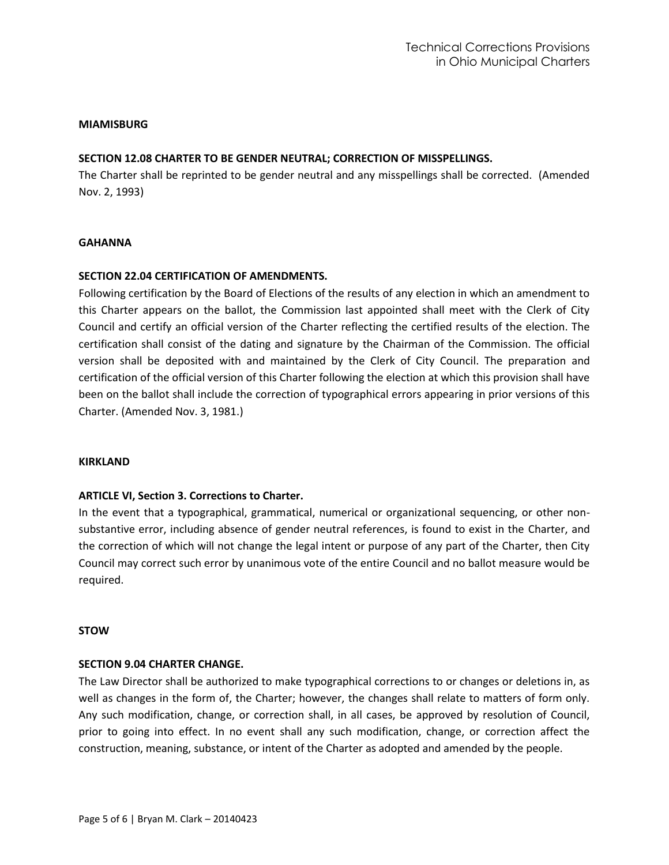#### **MIAMISBURG**

### **SECTION 12.08 CHARTER TO BE GENDER NEUTRAL; CORRECTION OF MISSPELLINGS.**

The Charter shall be reprinted to be gender neutral and any misspellings shall be corrected. (Amended Nov. 2, 1993)

#### **GAHANNA**

#### **SECTION 22.04 CERTIFICATION OF AMENDMENTS.**

Following certification by the Board of Elections of the results of any election in which an amendment to this Charter appears on the ballot, the Commission last appointed shall meet with the Clerk of City Council and certify an official version of the Charter reflecting the certified results of the election. The certification shall consist of the dating and signature by the Chairman of the Commission. The official version shall be deposited with and maintained by the Clerk of City Council. The preparation and certification of the official version of this Charter following the election at which this provision shall have been on the ballot shall include the correction of typographical errors appearing in prior versions of this Charter. (Amended Nov. 3, 1981.)

#### **KIRKLAND**

#### **ARTICLE VI, Section 3. Corrections to Charter.**

In the event that a typographical, grammatical, numerical or organizational sequencing, or other nonsubstantive error, including absence of gender neutral references, is found to exist in the Charter, and the correction of which will not change the legal intent or purpose of any part of the Charter, then City Council may correct such error by unanimous vote of the entire Council and no ballot measure would be required.

#### **STOW**

#### **SECTION 9.04 CHARTER CHANGE.**

The Law Director shall be authorized to make typographical corrections to or changes or deletions in, as well as changes in the form of, the Charter; however, the changes shall relate to matters of form only. Any such modification, change, or correction shall, in all cases, be approved by resolution of Council, prior to going into effect. In no event shall any such modification, change, or correction affect the construction, meaning, substance, or intent of the Charter as adopted and amended by the people.